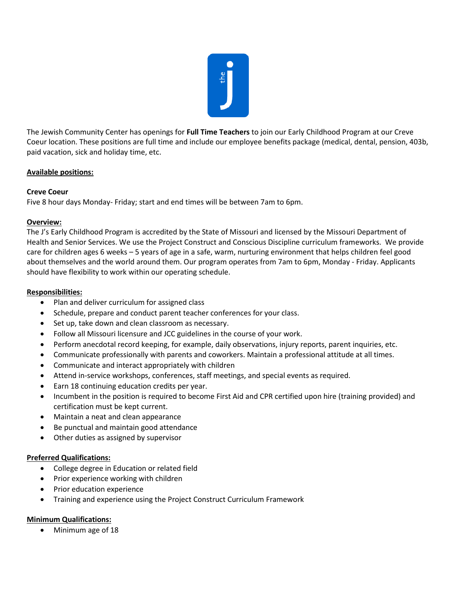

The Jewish Community Center has openings for **Full Time Teachers** to join our Early Childhood Program at our Creve Coeur location. These positions are full time and include our employee benefits package (medical, dental, pension, 403b, paid vacation, sick and holiday time, etc.

## **Available positions:**

## **Creve Coeur**

Five 8 hour days Monday- Friday; start and end times will be between 7am to 6pm.

## **Overview:**

The J's Early Childhood Program is accredited by the State of Missouri and licensed by the Missouri Department of Health and Senior Services. We use the Project Construct and Conscious Discipline curriculum frameworks. We provide care for children ages 6 weeks – 5 years of age in a safe, warm, nurturing environment that helps children feel good about themselves and the world around them. Our program operates from 7am to 6pm, Monday - Friday. Applicants should have flexibility to work within our operating schedule.

### **Responsibilities:**

- Plan and deliver curriculum for assigned class
- Schedule, prepare and conduct parent teacher conferences for your class.
- Set up, take down and clean classroom as necessary.
- Follow all Missouri licensure and JCC guidelines in the course of your work.
- Perform anecdotal record keeping, for example, daily observations, injury reports, parent inquiries, etc.
- Communicate professionally with parents and coworkers. Maintain a professional attitude at all times.
- Communicate and interact appropriately with children
- Attend in-service workshops, conferences, staff meetings, and special events as required.
- Earn 18 continuing education credits per year.
- Incumbent in the position is required to become First Aid and CPR certified upon hire (training provided) and certification must be kept current.
- Maintain a neat and clean appearance
- Be punctual and maintain good attendance
- Other duties as assigned by supervisor

#### **Preferred Qualifications:**

- College degree in Education or related field
- Prior experience working with children
- Prior education experience
- Training and experience using the Project Construct Curriculum Framework

# **Minimum Qualifications:**

• Minimum age of 18